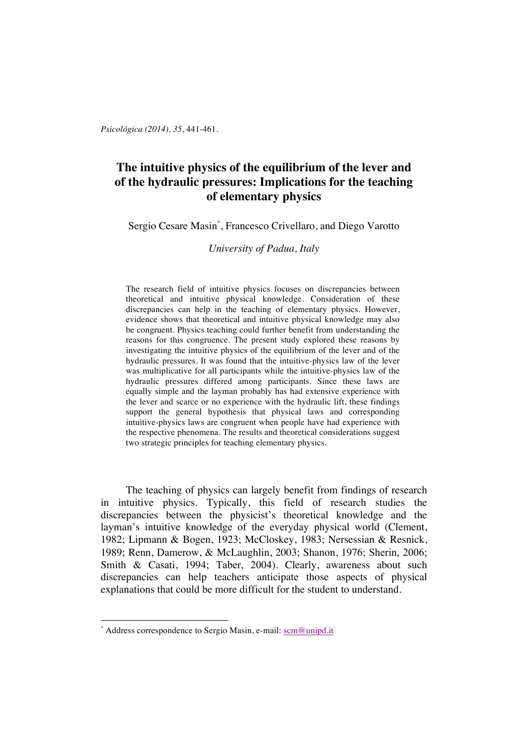*Psicológica (2014), 35*, 441-461.

# **The intuitive physics of the equilibrium of the lever and of the hydraulic pressures: Implications for the teaching of elementary physics**

Sergio Cesare Masin\* , Francesco Crivellaro, and Diego Varotto

*University of Padua, Italy*

The research field of intuitive physics focuses on discrepancies between theoretical and intuitive physical knowledge. Consideration of these discrepancies can help in the teaching of elementary physics. However, evidence shows that theoretical and intuitive physical knowledge may also be congruent. Physics teaching could further benefit from understanding the reasons for this congruence. The present study explored these reasons by investigating the intuitive physics of the equilibrium of the lever and of the hydraulic pressures. It was found that the intuitive-physics law of the lever was multiplicative for all participants while the intuitive-physics law of the hydraulic pressures differed among participants. Since these laws are equally simple and the layman probably has had extensive experience with the lever and scarce or no experience with the hydraulic lift, these findings support the general hypothesis that physical laws and corresponding intuitive-physics laws are congruent when people have had experience with the respective phenomena. The results and theoretical considerations suggest two strategic principles for teaching elementary physics.

The teaching of physics can largely benefit from findings of research in intuitive physics. Typically, this field of research studies the discrepancies between the physicist's theoretical knowledge and the layman's intuitive knowledge of the everyday physical world (Clement, 1982; Lipmann & Bogen, 1923; McCloskey, 1983; Nersessian & Resnick, 1989; Renn, Damerow, & McLaughlin, 2003; Shanon, 1976; Sherin, 2006; Smith & Casati, 1994; Taber, 2004). Clearly, awareness about such discrepancies can help teachers anticipate those aspects of physical explanations that could be more difficult for the student to understand.

 $\overline{a}$ 

<sup>\*</sup> Address correspondence to Sergio Masin, e-mail: scm@unipd.it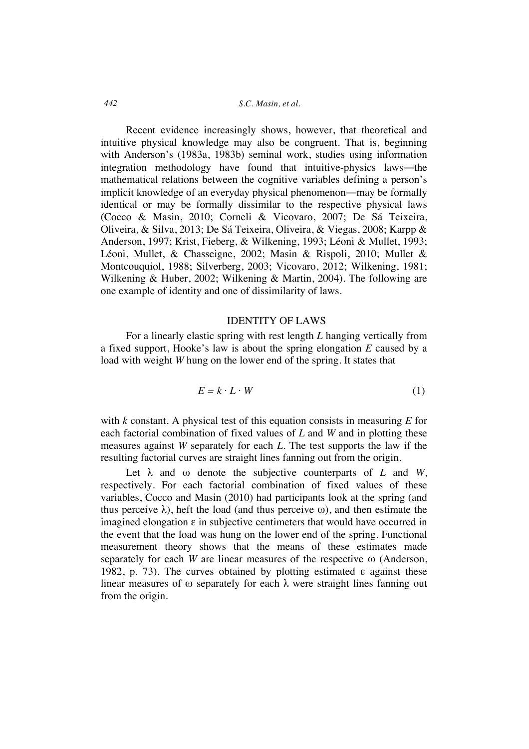Recent evidence increasingly shows, however, that theoretical and intuitive physical knowledge may also be congruent. That is, beginning with Anderson's (1983a, 1983b) seminal work, studies using information integration methodology have found that intuitive-physics laws―the mathematical relations between the cognitive variables defining a person's implicit knowledge of an everyday physical phenomenon―may be formally identical or may be formally dissimilar to the respective physical laws (Cocco & Masin, 2010; Corneli & Vicovaro, 2007; De Sá Teixeira, Oliveira, & Silva, 2013; De Sá Teixeira, Oliveira, & Viegas, 2008; Karpp & Anderson, 1997; Krist, Fieberg, & Wilkening, 1993; Léoni & Mullet, 1993; Léoni, Mullet, & Chasseigne, 2002; Masin & Rispoli, 2010; Mullet & Montcouquiol, 1988; Silverberg, 2003; Vicovaro, 2012; Wilkening, 1981; Wilkening & Huber, 2002; Wilkening & Martin, 2004). The following are one example of identity and one of dissimilarity of laws.

### IDENTITY OF LAWS

For a linearly elastic spring with rest length *L* hanging vertically from a fixed support, Hooke's law is about the spring elongation *E* caused by a load with weight *W* hung on the lower end of the spring. It states that

$$
E = k \cdot L \cdot W \tag{1}
$$

with *k* constant. A physical test of this equation consists in measuring *E* for each factorial combination of fixed values of *L* and *W* and in plotting these measures against *W* separately for each *L*. The test supports the law if the resulting factorial curves are straight lines fanning out from the origin.

Let λ and ω denote the subjective counterparts of *L* and *W*, respectively. For each factorial combination of fixed values of these variables, Cocco and Masin (2010) had participants look at the spring (and thus perceive  $\lambda$ ), heft the load (and thus perceive  $\omega$ ), and then estimate the imagined elongation  $\varepsilon$  in subjective centimeters that would have occurred in the event that the load was hung on the lower end of the spring. Functional measurement theory shows that the means of these estimates made separately for each *W* are linear measures of the respective ω (Anderson, 1982, p. 73). The curves obtained by plotting estimated  $\varepsilon$  against these linear measures of  $\omega$  separately for each  $\lambda$  were straight lines fanning out from the origin.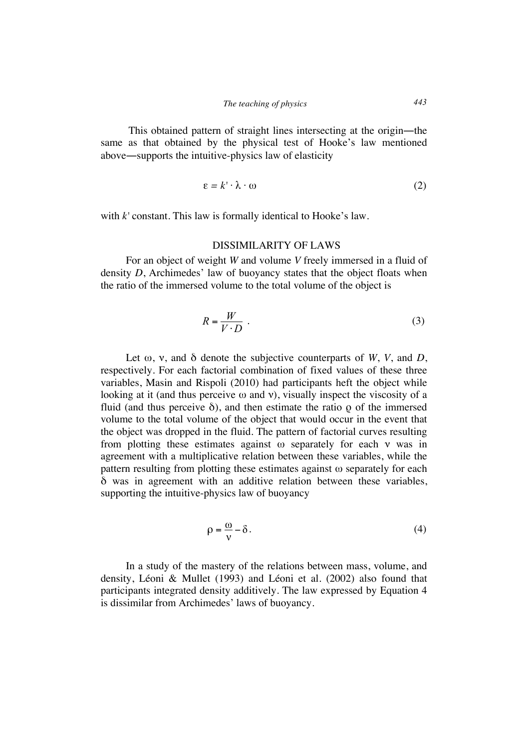This obtained pattern of straight lines intersecting at the origin—the same as that obtained by the physical test of Hooke's law mentioned above―supports the intuitive-physics law of elasticity

$$
\varepsilon = k' \cdot \lambda \cdot \omega \tag{2}
$$

with *k'* constant. This law is formally identical to Hooke's law.

### DISSIMILARITY OF LAWS

For an object of weight *W* and volume *V* freely immersed in a fluid of density *D*, Archimedes' law of buoyancy states that the object floats when the ratio of the immersed volume to the total volume of the object is

$$
R = \frac{W}{V \cdot D} \tag{3}
$$

Let  $\omega$ ,  $\nu$ , and  $\delta$  denote the subjective counterparts of *W*, *V*, and *D*, respectively. For each factorial combination of fixed values of these three variables, Masin and Rispoli (2010) had participants heft the object while looking at it (and thus perceive  $\omega$  and  $\nu$ ), visually inspect the viscosity of a fluid (and thus perceive  $\delta$ ), and then estimate the ratio  $\rho$  of the immersed volume to the total volume of the object that would occur in the event that the object was dropped in the fluid. The pattern of factorial curves resulting from plotting these estimates against ω separately for each ν was in agreement with a multiplicative relation between these variables, while the pattern resulting from plotting these estimates against ω separately for each δ was in agreement with an additive relation between these variables, supporting the intuitive-physics law of buoyancy

$$
\rho = \frac{\omega}{\nu} - \delta. \tag{4}
$$

In a study of the mastery of the relations between mass, volume, and density, Léoni & Mullet (1993) and Léoni et al. (2002) also found that participants integrated density additively. The law expressed by Equation 4 is dissimilar from Archimedes' laws of buoyancy.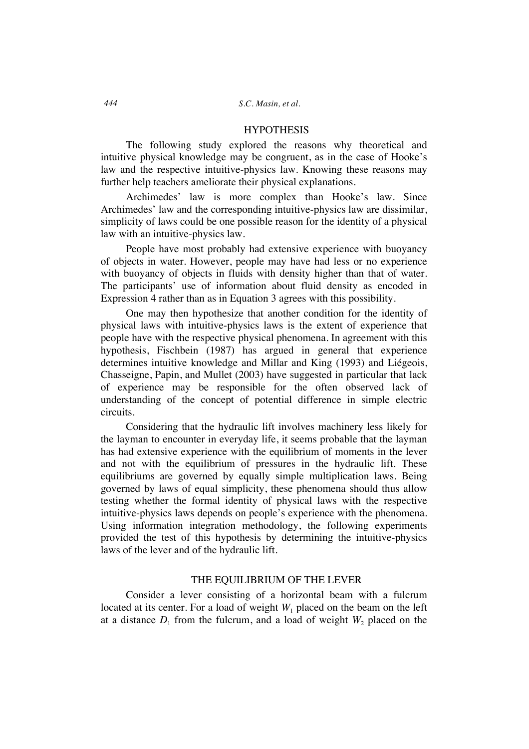### **HYPOTHESIS**

The following study explored the reasons why theoretical and intuitive physical knowledge may be congruent, as in the case of Hooke's law and the respective intuitive-physics law. Knowing these reasons may further help teachers ameliorate their physical explanations.

Archimedes' law is more complex than Hooke's law. Since Archimedes' law and the corresponding intuitive-physics law are dissimilar, simplicity of laws could be one possible reason for the identity of a physical law with an intuitive-physics law.

People have most probably had extensive experience with buoyancy of objects in water. However, people may have had less or no experience with buoyancy of objects in fluids with density higher than that of water. The participants' use of information about fluid density as encoded in Expression 4 rather than as in Equation 3 agrees with this possibility.

One may then hypothesize that another condition for the identity of physical laws with intuitive-physics laws is the extent of experience that people have with the respective physical phenomena. In agreement with this hypothesis, Fischbein (1987) has argued in general that experience determines intuitive knowledge and Millar and King (1993) and Liégeois, Chasseigne, Papin, and Mullet (2003) have suggested in particular that lack of experience may be responsible for the often observed lack of understanding of the concept of potential difference in simple electric circuits.

Considering that the hydraulic lift involves machinery less likely for the layman to encounter in everyday life, it seems probable that the layman has had extensive experience with the equilibrium of moments in the lever and not with the equilibrium of pressures in the hydraulic lift. These equilibriums are governed by equally simple multiplication laws. Being governed by laws of equal simplicity, these phenomena should thus allow testing whether the formal identity of physical laws with the respective intuitive-physics laws depends on people's experience with the phenomena. Using information integration methodology, the following experiments provided the test of this hypothesis by determining the intuitive-physics laws of the lever and of the hydraulic lift.

# THE EQUILIBRIUM OF THE LEVER

Consider a lever consisting of a horizontal beam with a fulcrum located at its center. For a load of weight  $W_1$  placed on the beam on the left at a distance  $D_1$  from the fulcrum, and a load of weight  $W_2$  placed on the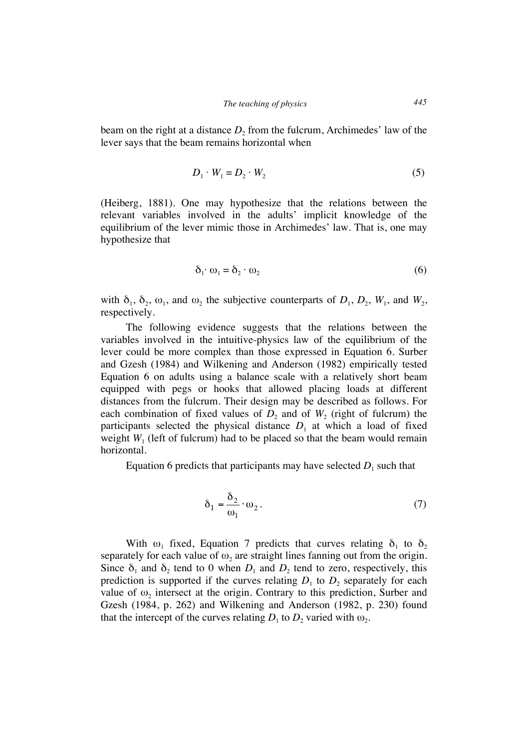beam on the right at a distance  $D_2$  from the fulcrum, Archimedes' law of the lever says that the beam remains horizontal when

$$
D_1 \cdot W_1 = D_2 \cdot W_2 \tag{5}
$$

(Heiberg, 1881). One may hypothesize that the relations between the relevant variables involved in the adults' implicit knowledge of the equilibrium of the lever mimic those in Archimedes' law. That is, one may hypothesize that

$$
\delta_1 \cdot \omega_1 = \delta_2 \cdot \omega_2 \tag{6}
$$

with  $\delta_1$ ,  $\delta_2$ ,  $\omega_1$ , and  $\omega_2$ , the subjective counterparts of  $D_1$ ,  $D_2$ ,  $W_1$ , and  $W_2$ , respectively.

The following evidence suggests that the relations between the variables involved in the intuitive-physics law of the equilibrium of the lever could be more complex than those expressed in Equation 6. Surber and Gzesh (1984) and Wilkening and Anderson (1982) empirically tested Equation 6 on adults using a balance scale with a relatively short beam equipped with pegs or hooks that allowed placing loads at different distances from the fulcrum. Their design may be described as follows. For each combination of fixed values of  $D_2$  and of  $W_2$  (right of fulcrum) the participants selected the physical distance  $D_1$  at which a load of fixed weight  $W_1$  (left of fulcrum) had to be placed so that the beam would remain horizontal.

Equation 6 predicts that participants may have selected  $D_1$  such that

$$
\delta_1 = \frac{\delta_2}{\omega_1} \cdot \omega_2. \tag{7}
$$

With  $\omega_1$  fixed, Equation 7 predicts that curves relating  $\delta_1$  to  $\delta_2$ separately for each value of  $\omega_2$  are straight lines fanning out from the origin. Since  $\delta_1$  and  $\delta_2$  tend to 0 when  $D_1$  and  $D_2$  tend to zero, respectively, this prediction is supported if the curves relating  $D_1$  to  $D_2$  separately for each value of  $\omega_2$  intersect at the origin. Contrary to this prediction, Surber and Gzesh (1984, p. 262) and Wilkening and Anderson (1982, p. 230) found that the intercept of the curves relating  $D_1$  to  $D_2$  varied with  $\omega_2$ .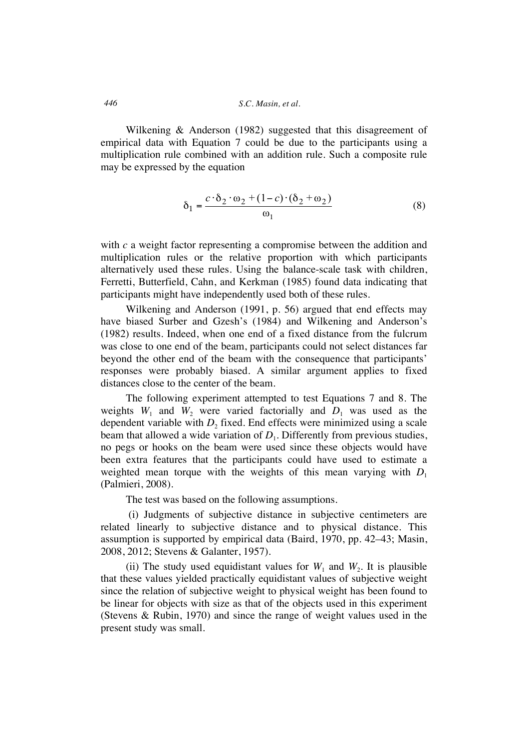Wilkening & Anderson (1982) suggested that this disagreement of empirical data with Equation 7 could be due to the participants using a multiplication rule combined with an addition rule. Such a composite rule may be expressed by the equation

$$
\delta_1 = \frac{c \cdot \delta_2 \cdot \omega_2 + (1 - c) \cdot (\delta_2 + \omega_2)}{\omega_1} \tag{8}
$$

with *c* a weight factor representing a compromise between the addition and multiplication rules or the relative proportion with which participants alternatively used these rules. Using the balance-scale task with children, Ferretti, Butterfield, Cahn, and Kerkman (1985) found data indicating that participants might have independently used both of these rules.

Wilkening and Anderson (1991, p. 56) argued that end effects may have biased Surber and Gzesh's (1984) and Wilkening and Anderson's (1982) results. Indeed, when one end of a fixed distance from the fulcrum was close to one end of the beam, participants could not select distances far beyond the other end of the beam with the consequence that participants' responses were probably biased. A similar argument applies to fixed distances close to the center of the beam.

The following experiment attempted to test Equations 7 and 8. The weights  $W_1$  and  $W_2$  were varied factorially and  $D_1$  was used as the dependent variable with  $D_2$  fixed. End effects were minimized using a scale beam that allowed a wide variation of  $D_1$ . Differently from previous studies, no pegs or hooks on the beam were used since these objects would have been extra features that the participants could have used to estimate a weighted mean torque with the weights of this mean varying with  $D_1$ (Palmieri, 2008).

The test was based on the following assumptions.

(i) Judgments of subjective distance in subjective centimeters are related linearly to subjective distance and to physical distance. This assumption is supported by empirical data (Baird, 1970, pp. 42–43; Masin, 2008, 2012; Stevens & Galanter, 1957).

(ii) The study used equidistant values for  $W_1$  and  $W_2$ . It is plausible that these values yielded practically equidistant values of subjective weight since the relation of subjective weight to physical weight has been found to be linear for objects with size as that of the objects used in this experiment (Stevens & Rubin, 1970) and since the range of weight values used in the present study was small.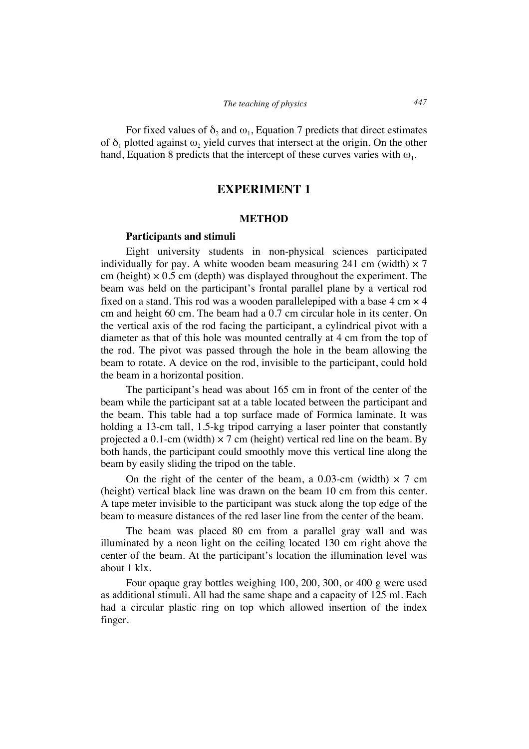For fixed values of  $\delta_2$  and  $\omega_1$ , Equation 7 predicts that direct estimates of  $\delta_1$  plotted against  $\omega_2$  yield curves that intersect at the origin. On the other hand, Equation 8 predicts that the intercept of these curves varies with  $\omega_1$ .

# **EXPERIMENT 1**

### **METHOD**

### **Participants and stimuli**

Eight university students in non-physical sciences participated individually for pay. A white wooden beam measuring 241 cm (width)  $\times$  7 cm (height)  $\times$  0.5 cm (depth) was displayed throughout the experiment. The beam was held on the participant's frontal parallel plane by a vertical rod fixed on a stand. This rod was a wooden parallelepiped with a base  $4 \text{ cm} \times 4$ cm and height 60 cm. The beam had a 0.7 cm circular hole in its center. On the vertical axis of the rod facing the participant, a cylindrical pivot with a diameter as that of this hole was mounted centrally at 4 cm from the top of the rod. The pivot was passed through the hole in the beam allowing the beam to rotate. A device on the rod, invisible to the participant, could hold the beam in a horizontal position.

The participant's head was about 165 cm in front of the center of the beam while the participant sat at a table located between the participant and the beam. This table had a top surface made of Formica laminate. It was holding a 13-cm tall, 1.5-kg tripod carrying a laser pointer that constantly projected a 0.1-cm (width)  $\times$  7 cm (height) vertical red line on the beam. By both hands, the participant could smoothly move this vertical line along the beam by easily sliding the tripod on the table.

On the right of the center of the beam, a 0.03-cm (width)  $\times$  7 cm (height) vertical black line was drawn on the beam 10 cm from this center. A tape meter invisible to the participant was stuck along the top edge of the beam to measure distances of the red laser line from the center of the beam.

The beam was placed 80 cm from a parallel gray wall and was illuminated by a neon light on the ceiling located 130 cm right above the center of the beam. At the participant's location the illumination level was about 1 klx.

Four opaque gray bottles weighing 100, 200, 300, or 400 g were used as additional stimuli. All had the same shape and a capacity of 125 ml. Each had a circular plastic ring on top which allowed insertion of the index finger.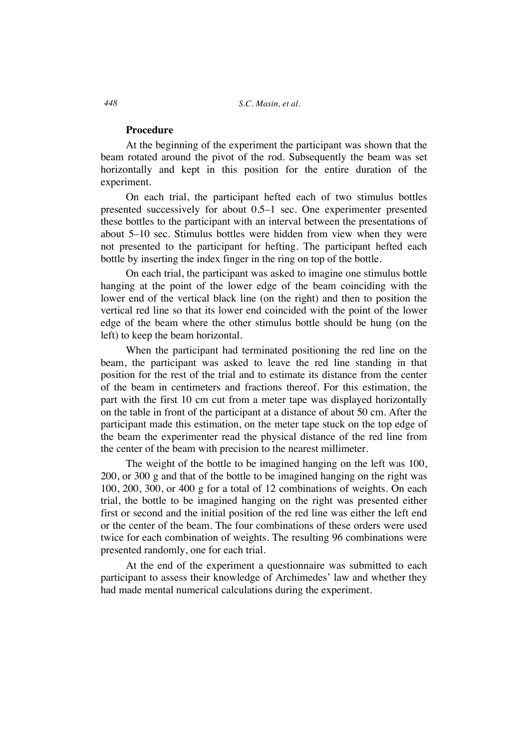# **Procedure**

At the beginning of the experiment the participant was shown that the beam rotated around the pivot of the rod. Subsequently the beam was set horizontally and kept in this position for the entire duration of the experiment.

On each trial, the participant hefted each of two stimulus bottles presented successively for about 0.5–1 sec. One experimenter presented these bottles to the participant with an interval between the presentations of about 5–10 sec. Stimulus bottles were hidden from view when they were not presented to the participant for hefting. The participant hefted each bottle by inserting the index finger in the ring on top of the bottle.

On each trial, the participant was asked to imagine one stimulus bottle hanging at the point of the lower edge of the beam coinciding with the lower end of the vertical black line (on the right) and then to position the vertical red line so that its lower end coincided with the point of the lower edge of the beam where the other stimulus bottle should be hung (on the left) to keep the beam horizontal.

When the participant had terminated positioning the red line on the beam, the participant was asked to leave the red line standing in that position for the rest of the trial and to estimate its distance from the center of the beam in centimeters and fractions thereof. For this estimation, the part with the first 10 cm cut from a meter tape was displayed horizontally on the table in front of the participant at a distance of about 50 cm. After the participant made this estimation, on the meter tape stuck on the top edge of the beam the experimenter read the physical distance of the red line from the center of the beam with precision to the nearest millimeter.

The weight of the bottle to be imagined hanging on the left was 100, 200, or 300 g and that of the bottle to be imagined hanging on the right was 100, 200, 300, or 400 g for a total of 12 combinations of weights. On each trial, the bottle to be imagined hanging on the right was presented either first or second and the initial position of the red line was either the left end or the center of the beam. The four combinations of these orders were used twice for each combination of weights. The resulting 96 combinations were presented randomly, one for each trial.

At the end of the experiment a questionnaire was submitted to each participant to assess their knowledge of Archimedes' law and whether they had made mental numerical calculations during the experiment.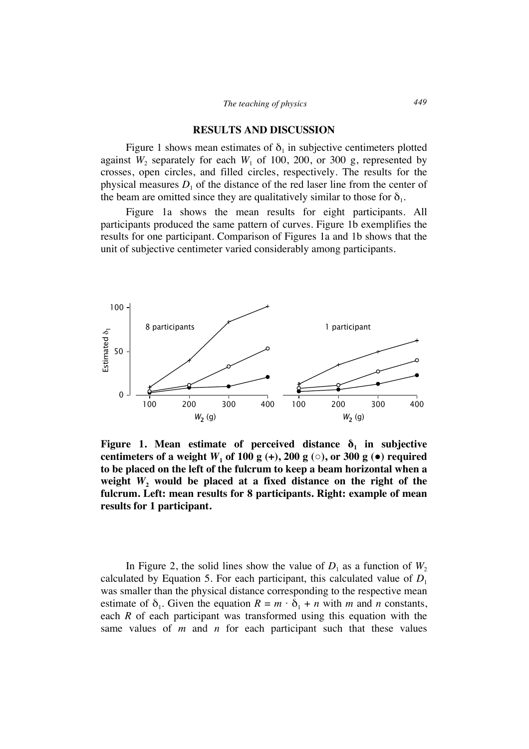#### **RESULTS AND DISCUSSION**

Figure 1 shows mean estimates of  $\delta_1$  in subjective centimeters plotted against  $W_2$  separately for each  $W_1$  of 100, 200, or 300 g, represented by crosses, open circles, and filled circles, respectively. The results for the physical measures  $D_1$  of the distance of the red laser line from the center of the beam are omitted since they are qualitatively similar to those for  $\delta_1$ .

Figure 1a shows the mean results for eight participants. All participants produced the same pattern of curves. Figure 1b exemplifies the results for one participant. Comparison of Figures 1a and 1b shows that the unit of subjective centimeter varied considerably among participants.



Figure 1. Mean estimate of perceived distance  $\delta_1$  in subjective centimeters of a weight  $W_1$  of 100 g (+), 200 g ( $\circ$ ), or 300 g ( $\bullet$ ) required **to be placed on the left of the fulcrum to keep a beam horizontal when a**  weight  $W_2$  would be placed at a fixed distance on the right of the **fulcrum. Left: mean results for 8 participants. Right: example of mean results for 1 participant.**

In Figure 2, the solid lines show the value of  $D_1$  as a function of  $W_2$ calculated by Equation 5. For each participant, this calculated value of  $D_1$ was smaller than the physical distance corresponding to the respective mean estimate of  $\delta_1$ . Given the equation  $R = m \cdot \delta_1 + n$  with *m* and *n* constants, each *R* of each participant was transformed using this equation with the same values of *m* and *n* for each participant such that these values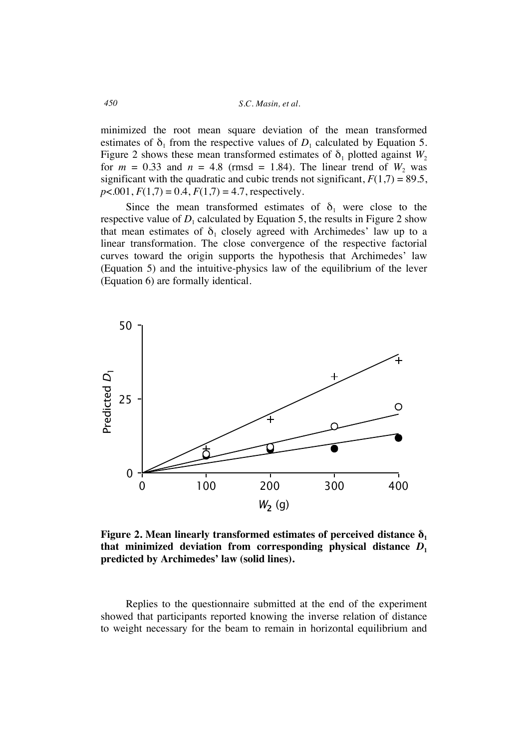minimized the root mean square deviation of the mean transformed estimates of  $\delta_1$  from the respective values of  $D_1$  calculated by Equation 5. Figure 2 shows these mean transformed estimates of  $\delta_1$  plotted against  $W_2$ for  $m = 0.33$  and  $n = 4.8$  (rmsd = 1.84). The linear trend of  $W_2$  was significant with the quadratic and cubic trends not significant,  $F(1,7) = 89.5$ ,  $p$ <.001,  $F(1,7) = 0.4$ ,  $F(1,7) = 4.7$ , respectively.

Since the mean transformed estimates of  $\delta_1$  were close to the respective value of  $D_1$  calculated by Equation 5, the results in Figure 2 show that mean estimates of  $\delta_1$  closely agreed with Archimedes' law up to a linear transformation. The close convergence of the respective factorial curves toward the origin supports the hypothesis that Archimedes' law (Equation 5) and the intuitive-physics law of the equilibrium of the lever (Equation 6) are formally identical.



**Figure 2. Mean linearly transformed estimates of perceived distance**  $\delta_1$ **that minimized deviation from corresponding physical distance** *D***<sup>1</sup> predicted by Archimedes' law (solid lines).**

Replies to the questionnaire submitted at the end of the experiment showed that participants reported knowing the inverse relation of distance to weight necessary for the beam to remain in horizontal equilibrium and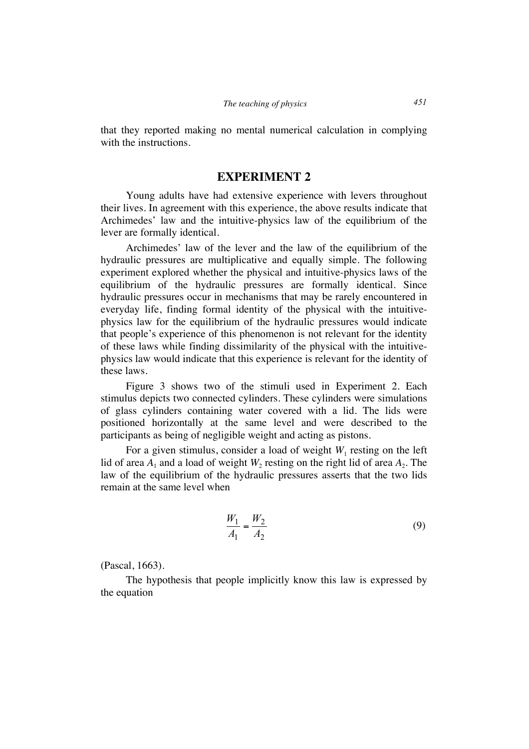that they reported making no mental numerical calculation in complying with the instructions.

# **EXPERIMENT 2**

Young adults have had extensive experience with levers throughout their lives. In agreement with this experience, the above results indicate that Archimedes' law and the intuitive-physics law of the equilibrium of the lever are formally identical.

Archimedes' law of the lever and the law of the equilibrium of the hydraulic pressures are multiplicative and equally simple. The following experiment explored whether the physical and intuitive-physics laws of the equilibrium of the hydraulic pressures are formally identical. Since hydraulic pressures occur in mechanisms that may be rarely encountered in everyday life, finding formal identity of the physical with the intuitivephysics law for the equilibrium of the hydraulic pressures would indicate that people's experience of this phenomenon is not relevant for the identity of these laws while finding dissimilarity of the physical with the intuitivephysics law would indicate that this experience is relevant for the identity of these laws.

Figure 3 shows two of the stimuli used in Experiment 2. Each stimulus depicts two connected cylinders. These cylinders were simulations of glass cylinders containing water covered with a lid. The lids were positioned horizontally at the same level and were described to the participants as being of negligible weight and acting as pistons.

For a given stimulus, consider a load of weight  $W_1$  resting on the left lid of area  $A_1$  and a load of weight  $W_2$  resting on the right lid of area  $A_2$ . The law of the equilibrium of the hydraulic pressures asserts that the two lids remain at the same level when

$$
\frac{W_1}{A_1} = \frac{W_2}{A_2} \tag{9}
$$

(Pascal, 1663).

The hypothesis that people implicitly know this law is expressed by the equation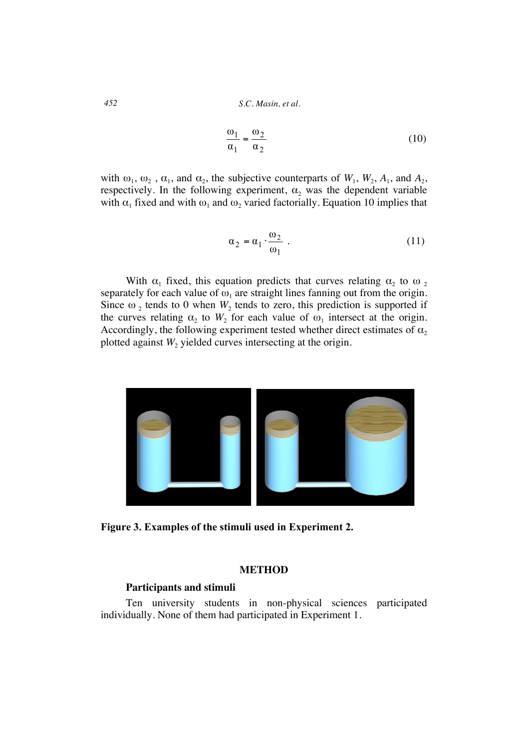$$
\frac{\omega_1}{\alpha_1} = \frac{\omega_2}{\alpha_2} \tag{10}
$$

with  $\omega_1$ ,  $\omega_2$ ,  $\alpha_1$ , and  $\alpha_2$ , the subjective counterparts of  $W_1$ ,  $W_2$ ,  $A_1$ , and  $A_2$ , respectively. In the following experiment,  $\alpha_2$  was the dependent variable with  $\alpha_1$  fixed and with  $\omega_1$  and  $\omega_2$  varied factorially. Equation 10 implies that

$$
\alpha_2 = \alpha_1 \cdot \frac{\omega_2}{\omega_1} \tag{11}
$$

With  $\alpha_1$  fixed, this equation predicts that curves relating  $\alpha_2$  to  $\omega_2$ separately for each value of  $\omega_1$  are straight lines fanning out from the origin. Since  $\omega_2$  tends to 0 when  $W_2$  tends to zero, this prediction is supported if the curves relating  $\alpha_2$  to  $W_2$  for each value of  $\omega_1$  intersect at the origin. Accordingly, the following experiment tested whether direct estimates of  $\alpha_2$ plotted against  $W_2$  yielded curves intersecting at the origin.



**Figure 3. Examples of the stimuli used in Experiment 2.**

# **METHOD**

### **Participants and stimuli**

Ten university students in non-physical sciences participated individually. None of them had participated in Experiment 1.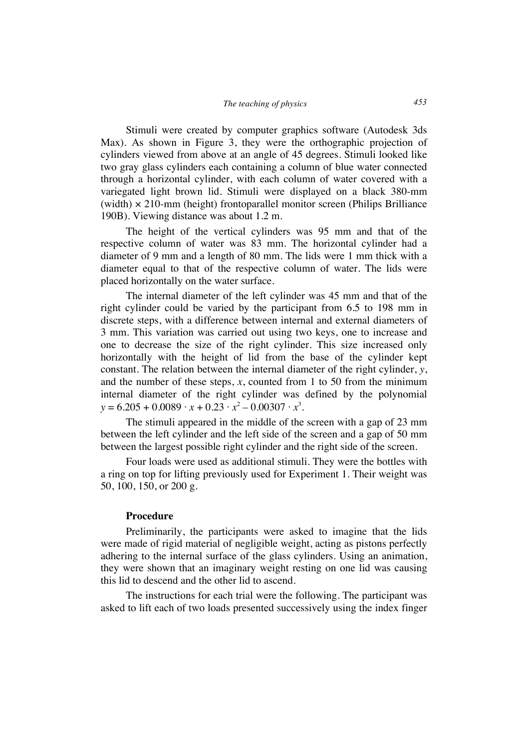Stimuli were created by computer graphics software (Autodesk 3ds Max). As shown in Figure 3, they were the orthographic projection of cylinders viewed from above at an angle of 45 degrees. Stimuli looked like two gray glass cylinders each containing a column of blue water connected through a horizontal cylinder, with each column of water covered with a variegated light brown lid. Stimuli were displayed on a black 380-mm (width)  $\times$  210-mm (height) frontoparallel monitor screen (Philips Brilliance 190B). Viewing distance was about 1.2 m.

The height of the vertical cylinders was 95 mm and that of the respective column of water was 83 mm. The horizontal cylinder had a diameter of 9 mm and a length of 80 mm. The lids were 1 mm thick with a diameter equal to that of the respective column of water. The lids were placed horizontally on the water surface.

The internal diameter of the left cylinder was 45 mm and that of the right cylinder could be varied by the participant from 6.5 to 198 mm in discrete steps, with a difference between internal and external diameters of 3 mm. This variation was carried out using two keys, one to increase and one to decrease the size of the right cylinder. This size increased only horizontally with the height of lid from the base of the cylinder kept constant. The relation between the internal diameter of the right cylinder, *y*, and the number of these steps,  $x$ , counted from 1 to 50 from the minimum internal diameter of the right cylinder was defined by the polynomial  $y = 6.205 + 0.0089 \cdot x + 0.23 \cdot x^2 - 0.00307 \cdot x^3$ .

The stimuli appeared in the middle of the screen with a gap of 23 mm between the left cylinder and the left side of the screen and a gap of 50 mm between the largest possible right cylinder and the right side of the screen.

Four loads were used as additional stimuli. They were the bottles with a ring on top for lifting previously used for Experiment 1. Their weight was 50, 100, 150, or 200 g.

### **Procedure**

Preliminarily, the participants were asked to imagine that the lids were made of rigid material of negligible weight, acting as pistons perfectly adhering to the internal surface of the glass cylinders. Using an animation, they were shown that an imaginary weight resting on one lid was causing this lid to descend and the other lid to ascend.

The instructions for each trial were the following. The participant was asked to lift each of two loads presented successively using the index finger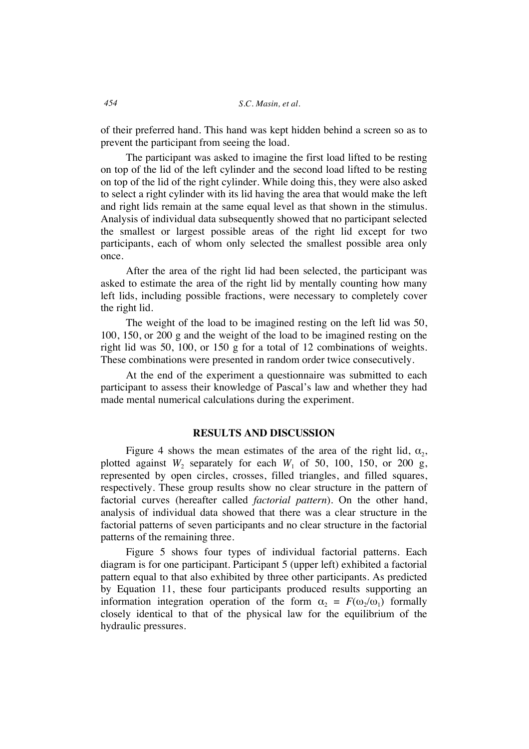of their preferred hand. This hand was kept hidden behind a screen so as to prevent the participant from seeing the load.

The participant was asked to imagine the first load lifted to be resting on top of the lid of the left cylinder and the second load lifted to be resting on top of the lid of the right cylinder. While doing this, they were also asked to select a right cylinder with its lid having the area that would make the left and right lids remain at the same equal level as that shown in the stimulus. Analysis of individual data subsequently showed that no participant selected the smallest or largest possible areas of the right lid except for two participants, each of whom only selected the smallest possible area only once.

After the area of the right lid had been selected, the participant was asked to estimate the area of the right lid by mentally counting how many left lids, including possible fractions, were necessary to completely cover the right lid.

The weight of the load to be imagined resting on the left lid was 50, 100, 150, or 200 g and the weight of the load to be imagined resting on the right lid was 50, 100, or 150 g for a total of 12 combinations of weights. These combinations were presented in random order twice consecutively.

At the end of the experiment a questionnaire was submitted to each participant to assess their knowledge of Pascal's law and whether they had made mental numerical calculations during the experiment.

# **RESULTS AND DISCUSSION**

Figure 4 shows the mean estimates of the area of the right lid,  $\alpha_2$ , plotted against  $W_2$  separately for each  $W_1$  of 50, 100, 150, or 200 g, represented by open circles, crosses, filled triangles, and filled squares, respectively. These group results show no clear structure in the pattern of factorial curves (hereafter called *factorial pattern*). On the other hand, analysis of individual data showed that there was a clear structure in the factorial patterns of seven participants and no clear structure in the factorial patterns of the remaining three.

Figure 5 shows four types of individual factorial patterns. Each diagram is for one participant. Participant 5 (upper left) exhibited a factorial pattern equal to that also exhibited by three other participants. As predicted by Equation 11, these four participants produced results supporting an information integration operation of the form  $\alpha_2 = F(\omega_2/\omega_1)$  formally closely identical to that of the physical law for the equilibrium of the hydraulic pressures.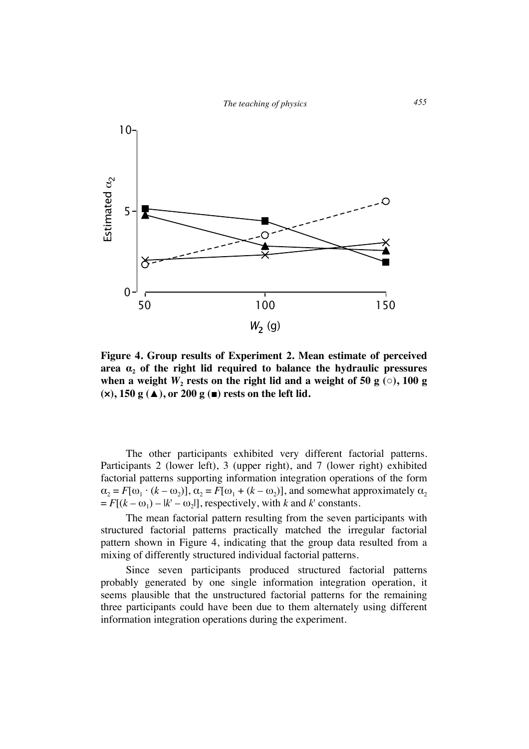

**Figure 4. Group results of Experiment 2. Mean estimate of perceived**  area  $\alpha_2$  of the right lid required to balance the hydraulic pressures when a weight  $W_2$  rests on the right lid and a weight of 50 g  $\circ$ ), 100 g **(×), 150 g (▲), or 200 g (■) rests on the left lid.**

The other participants exhibited very different factorial patterns. Participants 2 (lower left), 3 (upper right), and 7 (lower right) exhibited factorial patterns supporting information integration operations of the form  $\alpha_2 = F[\omega_1 \cdot (k - \omega_2)], \alpha_2 = F[\omega_1 + (k - \omega_2)],$  and somewhat approximately  $\alpha_2$  $= F[(k - \omega_1) - (k' - \omega_2)]$ , respectively, with *k* and *k*' constants.

The mean factorial pattern resulting from the seven participants with structured factorial patterns practically matched the irregular factorial pattern shown in Figure 4, indicating that the group data resulted from a mixing of differently structured individual factorial patterns.

Since seven participants produced structured factorial patterns probably generated by one single information integration operation, it seems plausible that the unstructured factorial patterns for the remaining three participants could have been due to them alternately using different information integration operations during the experiment.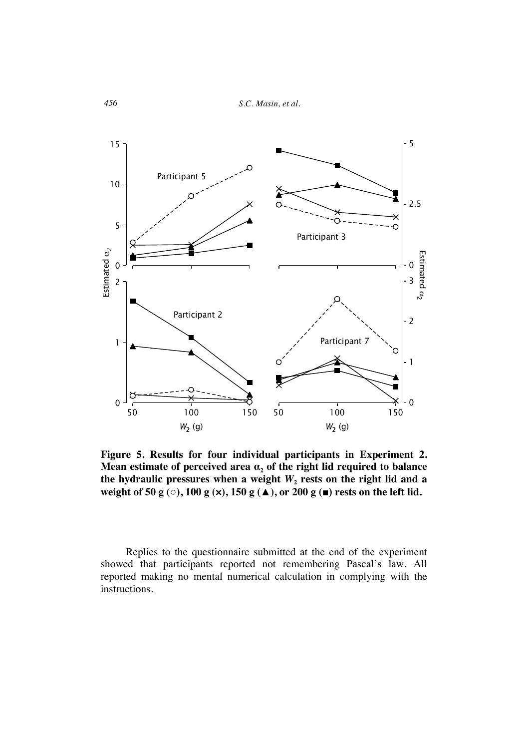*456 S.C. Masin, et al.*



**Figure 5. Results for four individual participants in Experiment 2. Mean estimate of perceived area**  $\alpha_2$  **of the right lid required to balance** the hydraulic pressures when a weight  $W_2$  rests on the right lid and a **weight of 50 g (○), 100 g (×), 150 g (▲), or 200 g (■) rests on the left lid.**

Replies to the questionnaire submitted at the end of the experiment showed that participants reported not remembering Pascal's law. All reported making no mental numerical calculation in complying with the instructions.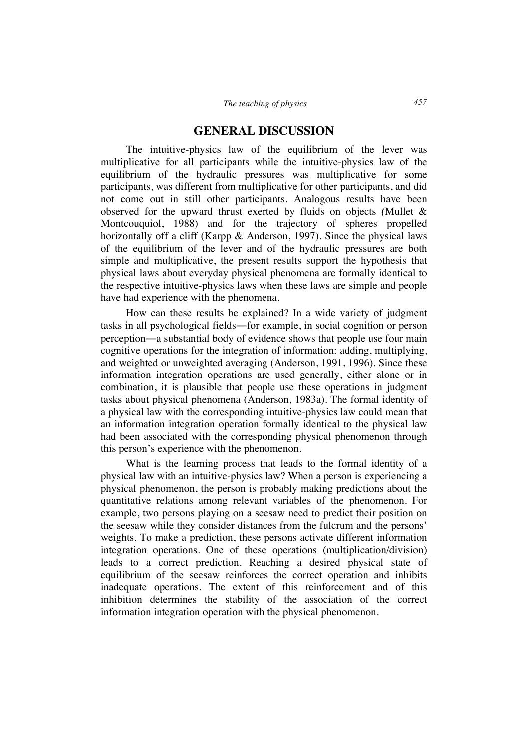# **GENERAL DISCUSSION**

The intuitive-physics law of the equilibrium of the lever was multiplicative for all participants while the intuitive-physics law of the equilibrium of the hydraulic pressures was multiplicative for some participants, was different from multiplicative for other participants, and did not come out in still other participants. Analogous results have been observed for the upward thrust exerted by fluids on objects *(*Mullet & Montcouquiol, 1988) and for the trajectory of spheres propelled horizontally off a cliff (Karpp & Anderson, 1997). Since the physical laws of the equilibrium of the lever and of the hydraulic pressures are both simple and multiplicative, the present results support the hypothesis that physical laws about everyday physical phenomena are formally identical to the respective intuitive-physics laws when these laws are simple and people have had experience with the phenomena.

How can these results be explained? In a wide variety of judgment tasks in all psychological fields―for example, in social cognition or person perception―a substantial body of evidence shows that people use four main cognitive operations for the integration of information: adding, multiplying, and weighted or unweighted averaging (Anderson, 1991, 1996). Since these information integration operations are used generally, either alone or in combination, it is plausible that people use these operations in judgment tasks about physical phenomena (Anderson, 1983a). The formal identity of a physical law with the corresponding intuitive-physics law could mean that an information integration operation formally identical to the physical law had been associated with the corresponding physical phenomenon through this person's experience with the phenomenon.

What is the learning process that leads to the formal identity of a physical law with an intuitive-physics law? When a person is experiencing a physical phenomenon, the person is probably making predictions about the quantitative relations among relevant variables of the phenomenon. For example, two persons playing on a seesaw need to predict their position on the seesaw while they consider distances from the fulcrum and the persons' weights. To make a prediction, these persons activate different information integration operations. One of these operations (multiplication/division) leads to a correct prediction. Reaching a desired physical state of equilibrium of the seesaw reinforces the correct operation and inhibits inadequate operations. The extent of this reinforcement and of this inhibition determines the stability of the association of the correct information integration operation with the physical phenomenon.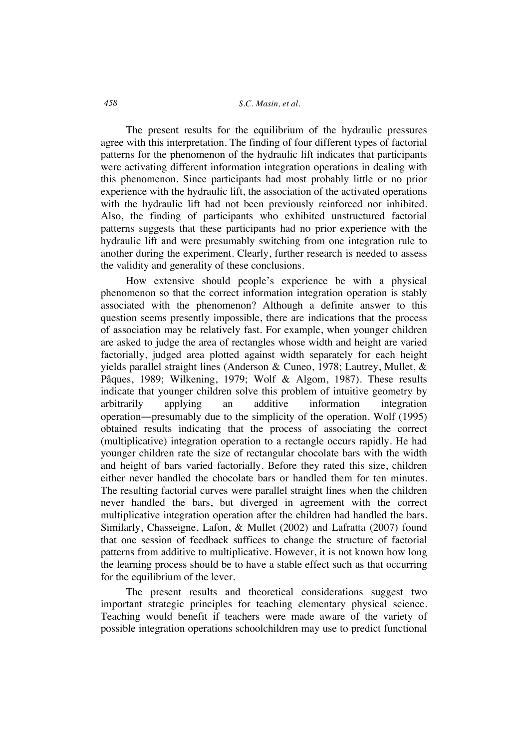The present results for the equilibrium of the hydraulic pressures agree with this interpretation. The finding of four different types of factorial patterns for the phenomenon of the hydraulic lift indicates that participants were activating different information integration operations in dealing with this phenomenon. Since participants had most probably little or no prior experience with the hydraulic lift, the association of the activated operations with the hydraulic lift had not been previously reinforced nor inhibited. Also, the finding of participants who exhibited unstructured factorial patterns suggests that these participants had no prior experience with the hydraulic lift and were presumably switching from one integration rule to another during the experiment. Clearly, further research is needed to assess the validity and generality of these conclusions.

How extensive should people's experience be with a physical phenomenon so that the correct information integration operation is stably associated with the phenomenon? Although a definite answer to this question seems presently impossible, there are indications that the process of association may be relatively fast. For example, when younger children are asked to judge the area of rectangles whose width and height are varied factorially, judged area plotted against width separately for each height yields parallel straight lines (Anderson & Cuneo, 1978; Lautrey, Mullet, & Pâques, 1989; Wilkening, 1979; Wolf & Algom, 1987). These results indicate that younger children solve this problem of intuitive geometry by arbitrarily applying an additive information integration operation―presumably due to the simplicity of the operation. Wolf (1995) obtained results indicating that the process of associating the correct (multiplicative) integration operation to a rectangle occurs rapidly. He had younger children rate the size of rectangular chocolate bars with the width and height of bars varied factorially. Before they rated this size, children either never handled the chocolate bars or handled them for ten minutes. The resulting factorial curves were parallel straight lines when the children never handled the bars, but diverged in agreement with the correct multiplicative integration operation after the children had handled the bars. Similarly, Chasseigne, Lafon, & Mullet (2002) and Lafratta (2007) found that one session of feedback suffices to change the structure of factorial patterns from additive to multiplicative. However, it is not known how long the learning process should be to have a stable effect such as that occurring for the equilibrium of the lever.

The present results and theoretical considerations suggest two important strategic principles for teaching elementary physical science. Teaching would benefit if teachers were made aware of the variety of possible integration operations schoolchildren may use to predict functional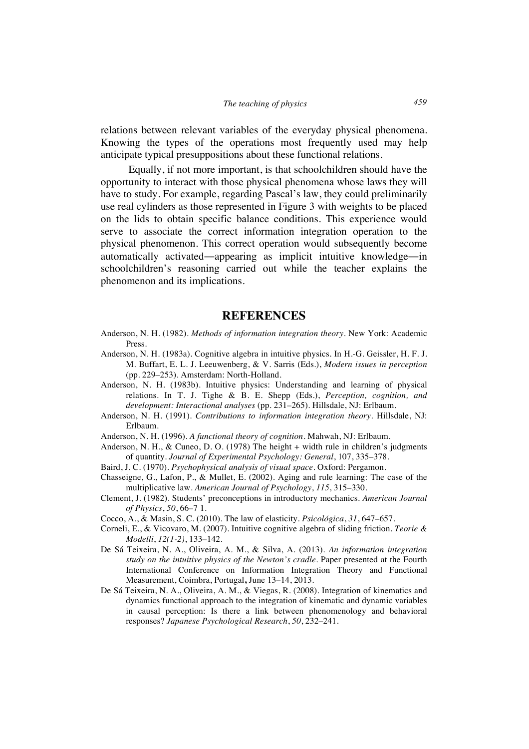relations between relevant variables of the everyday physical phenomena. Knowing the types of the operations most frequently used may help anticipate typical presuppositions about these functional relations.

Equally, if not more important, is that schoolchildren should have the opportunity to interact with those physical phenomena whose laws they will have to study. For example, regarding Pascal's law, they could preliminarily use real cylinders as those represented in Figure 3 with weights to be placed on the lids to obtain specific balance conditions. This experience would serve to associate the correct information integration operation to the physical phenomenon. This correct operation would subsequently become automatically activated―appearing as implicit intuitive knowledge―in schoolchildren's reasoning carried out while the teacher explains the phenomenon and its implications.

# **REFERENCES**

- Anderson, N. H. (1982). *Methods of information integration theory*. New York: Academic Press.
- Anderson, N. H. (1983a). Cognitive algebra in intuitive physics. In H.-G. Geissler, H. F. J. M. Buffart, E. L. J. Leeuwenberg, & V. Sarris (Eds.), *Modern issues in perception*  (pp. 229–253). Amsterdam: North-Holland.
- Anderson, N. H. (1983b). Intuitive physics: Understanding and learning of physical relations. In T. J. Tighe & B. E. Shepp (Eds.), *Perception, cognition, and development: Interactional analyses* (pp. 231–265). Hillsdale, NJ: Erlbaum.
- Anderson, N. H. (1991). *Contributions to information integration theory*. Hillsdale, NJ: Erlbaum.
- Anderson, N. H. (1996). *A functional theory of cognition*. Mahwah, NJ: Erlbaum.
- Anderson, N. H., & Cuneo, D. O. (1978) The height + width rule in children's judgments of quantity. *Journal of Experimental Psychology: General*, 107, 335–378.
- Baird, J. C. (1970). *Psychophysical analysis of visual space*. Oxford: Pergamon.
- Chasseigne, G., Lafon, P., & Mullet, E. (2002). Aging and rule learning: The case of the multiplicative law. *American Journal of Psychology*, *115*, 315–330.
- Clement, J. (1982). Students' preconceptions in introductory mechanics. *American Journal of Physics*, *50*, 66–7 1.
- Cocco, A., & Masin, S. C. (2010). The law of elasticity. *Psicológica*, *31*, 647–657.
- Corneli, E., & Vicovaro, M. (2007). Intuitive cognitive algebra of sliding friction. *Teorie & Modelli*, *12(1-2)*, 133–142.
- De Sá Teixeira, N. A., Oliveira, A. M., & Silva, A. (2013). *An information integration study on the intuitive physics of the Newton's cradle*. Paper presented at the Fourth International Conference on Information Integration Theory and Functional Measurement, Coimbra, Portugal**,** June 13–14, 2013.
- De Sá Teixeira, N. A., Oliveira, A. M., & Viegas, R. (2008). Integration of kinematics and dynamics functional approach to the integration of kinematic and dynamic variables in causal perception: Is there a link between phenomenology and behavioral responses? *Japanese Psychological Research*, *50*, 232–241.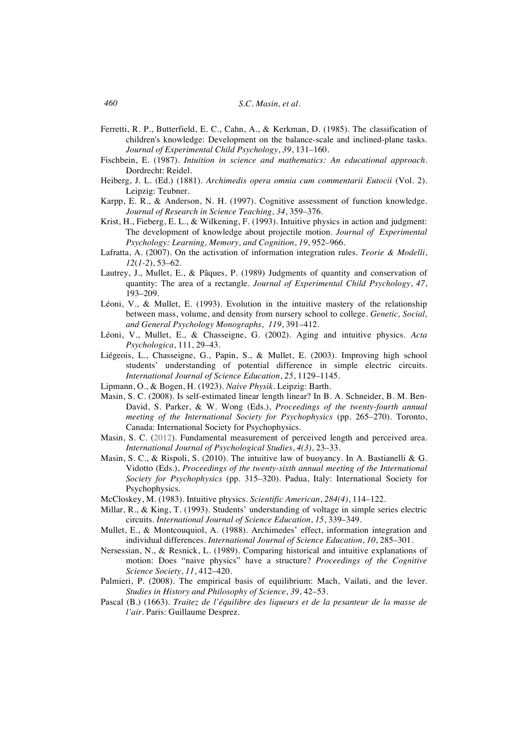- Ferretti, R. P., Butterfield, E. C., Cahn, A., & Kerkman, D. (1985). The classification of children's knowledge: Development on the balance-scale and inclined-plane tasks. *Journal of Experimental Child Psychology*, *39*, 131–160.
- Fischbein, E. (1987). *Intuition in science and mathematics: An educational approach*. Dordrecht: Reidel.
- Heiberg, J. L. (Ed.) (1881). *Archimedis opera omnia cum commentarii Eutocii* (Vol. 2). Leipzig: Teubner.
- Karpp, E. R., & Anderson, N. H. (1997). Cognitive assessment of function knowledge. *Journal of Research in Science Teaching*, *34*, 359–376.
- Krist, H., Fieberg, E. L., & Wilkening, F. (1993). Intuitive physics in action and judgment: The development of knowledge about projectile motion. *Journal of Experimental Psychology: Learning, Memory, and Cognition*, *19*, 952–966.
- Lafratta, A. (2007). On the activation of information integration rules. *Teorie & Modelli*, *12*(*1-2*), 53–62.
- Lautrey, J., Mullet, E., & Pâques, P. (1989) Judgments of quantity and conservation of quantity: The area of a rectangle. *Journal of Experimental Child Psychology*, *47*, 193–209.
- Léoni, V., & Mullet, E. (1993). Evolution in the intuitive mastery of the relationship between mass, volume, and density from nursery school to college. *Genetic, Social, and General Psychology Monographs*, *119*, 391–412.
- Léoni, V., Mullet, E., & Chasseigne, G. (2002). Aging and intuitive physics. *Acta Psychologica*, 111, 29–43.
- Liégeois, L., Chasseigne, G., Papin, S., & Mullet, E. (2003). Improving high school students' understanding of potential difference in simple electric circuits. *International Journal of Science Education*, *25*, 1129–1145.
- Lipmann, O., & Bogen, H. (1923). *Naive Physik*. Leipzig: Barth.
- Masin, S. C. (2008). Is self-estimated linear length linear? In B. A. Schneider, B. M. Ben-David, S. Parker, & W. Wong (Eds.), *Proceedings of the twenty-fourth annual meeting of the International Society for Psychophysics* (pp. 265–270). Toronto, Canada: International Society for Psychophysics.
- Masin, S. C. (2012). Fundamental measurement of perceived length and perceived area. *International Journal of Psychological Studies*, *4(3)*, 23–33.
- Masin, S. C., & Rispoli, S. (2010). The intuitive law of buoyancy. In A. Bastianelli & G. Vidotto (Eds.), *Proceedings of the twenty-sixth annual meeting of the International Society for Psychophysics* (pp. 315–320). Padua, Italy: International Society for Psychophysics.
- McCloskey, M. (1983). Intuitive physics. *Scientific American*, *284(4)*, 114–122.
- Millar, R., & King, T. (1993). Students' understanding of voltage in simple series electric circuits. *International Journal of Science Education*, *15*, 339–349.
- Mullet, E., & Montcouquiol, A. (1988). Archimedes' effect, information integration and individual differences. *International Journal of Science Education*, *10*, 285–301.
- Nersessian, N., & Resnick, L. (1989). Comparing historical and intuitive explanations of motion: Does "naive physics" have a structure? *Proceedings of the Cognitive Science Society*, *11*, 412–420.
- Palmieri, P. (2008). The empirical basis of equilibrium: Mach, Vailati, and the lever. *Studies in History and Philosophy of Science*, *39*, 42–53.
- Pascal (B.) (1663). *Traitez de l'équilibre des liqueurs et de la pesanteur de la masse de l'air*. Paris: Guillaume Desprez.